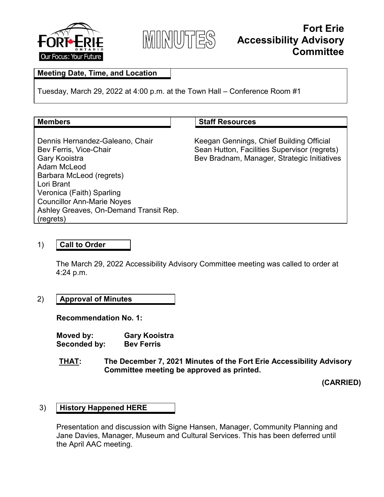



# **Fort Erie Accessibility Advisory Committee**

#### **Meeting Date, Time, and Location**

Tuesday, March 29, 2022 at 4:00 p.m. at the Town Hall – Conference Room #1

#### **Members**  $\vert$  **Staff Resources**

Dennis Hernandez-Galeano, Chair Bev Ferris, Vice-Chair Gary Kooistra Adam McLeod Barbara McLeod (regrets) Lori Brant Veronica (Faith) Sparling Councillor Ann-Marie Noyes Ashley Greaves, On-Demand Transit Rep. (regrets)

Keegan Gennings, Chief Building Official Sean Hutton, Facilities Supervisor (regrets) Bev Bradnam, Manager, Strategic Initiatives

#### 1) **Call to Order**

The March 29, 2022 Accessibility Advisory Committee meeting was called to order at 4:24 p.m.

2) **Approval of Minutes**

**Recommendation No. 1:**

**Moved by: Gary Kooistra Seconded by: Bev Ferris**

**THAT: The December 7, 2021 Minutes of the Fort Erie Accessibility Advisory Committee meeting be approved as printed.**

**(CARRIED)**

#### 3) **History Happened HERE**

Presentation and discussion with Signe Hansen, Manager, Community Planning and Jane Davies, Manager, Museum and Cultural Services. This has been deferred until the April AAC meeting.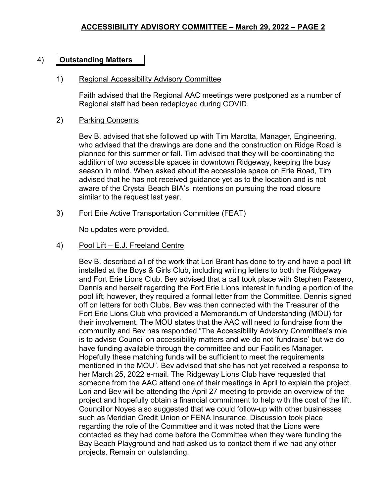# 4) **Outstanding Matters**

#### 1) Regional Accessibility Advisory Committee

Faith advised that the Regional AAC meetings were postponed as a number of Regional staff had been redeployed during COVID.

#### 2) Parking Concerns

Bev B. advised that she followed up with Tim Marotta, Manager, Engineering, who advised that the drawings are done and the construction on Ridge Road is planned for this summer or fall. Tim advised that they will be coordinating the addition of two accessible spaces in downtown Ridgeway, keeping the busy season in mind. When asked about the accessible space on Erie Road, Tim advised that he has not received guidance yet as to the location and is not aware of the Crystal Beach BIA's intentions on pursuing the road closure similar to the request last year.

# 3) Fort Erie Active Transportation Committee (FEAT)

No updates were provided.

# 4) Pool Lift – E.J. Freeland Centre

Bev B. described all of the work that Lori Brant has done to try and have a pool lift installed at the Boys & Girls Club, including writing letters to both the Ridgeway and Fort Erie Lions Club. Bev advised that a call took place with Stephen Passero, Dennis and herself regarding the Fort Erie Lions interest in funding a portion of the pool lift; however, they required a formal letter from the Committee. Dennis signed off on letters for both Clubs. Bev was then connected with the Treasurer of the Fort Erie Lions Club who provided a Memorandum of Understanding (MOU) for their involvement. The MOU states that the AAC will need to fundraise from the community and Bev has responded "The Accessibility Advisory Committee's role is to advise Council on accessibility matters and we do not 'fundraise' but we do have funding available through the committee and our Facilities Manager. Hopefully these matching funds will be sufficient to meet the requirements mentioned in the MOU". Bev advised that she has not yet received a response to her March 25, 2022 e-mail. The Ridgeway Lions Club have requested that someone from the AAC attend one of their meetings in April to explain the project. Lori and Bev will be attending the April 27 meeting to provide an overview of the project and hopefully obtain a financial commitment to help with the cost of the lift. Councillor Noyes also suggested that we could follow-up with other businesses such as Meridian Credit Union or FENA Insurance. Discussion took place regarding the role of the Committee and it was noted that the Lions were contacted as they had come before the Committee when they were funding the Bay Beach Playground and had asked us to contact them if we had any other projects. Remain on outstanding.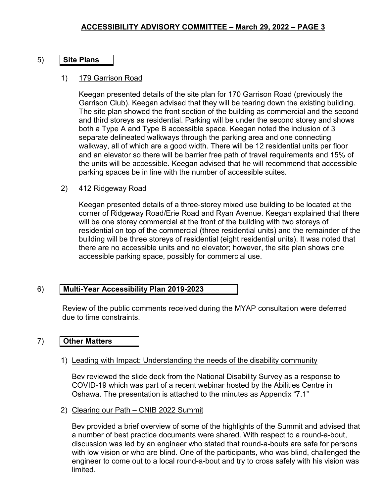# 5) **Site Plans**

# 1) 179 Garrison Road

Keegan presented details of the site plan for 170 Garrison Road (previously the Garrison Club). Keegan advised that they will be tearing down the existing building. The site plan showed the front section of the building as commercial and the second and third storeys as residential. Parking will be under the second storey and shows both a Type A and Type B accessible space. Keegan noted the inclusion of 3 separate delineated walkways through the parking area and one connecting walkway, all of which are a good width. There will be 12 residential units per floor and an elevator so there will be barrier free path of travel requirements and 15% of the units will be accessible. Keegan advised that he will recommend that accessible parking spaces be in line with the number of accessible suites.

# 2) 412 Ridgeway Road

Keegan presented details of a three-storey mixed use building to be located at the corner of Ridgeway Road/Erie Road and Ryan Avenue. Keegan explained that there will be one storey commercial at the front of the building with two storeys of residential on top of the commercial (three residential units) and the remainder of the building will be three storeys of residential (eight residential units). It was noted that there are no accessible units and no elevator; however, the site plan shows one accessible parking space, possibly for commercial use.

# 6) **Multi-Year Accessibility Plan 2019-2023**

Review of the public comments received during the MYAP consultation were deferred due to time constraints.

# 7) **Other Matters**

# 1) Leading with Impact: Understanding the needs of the disability community

Bev reviewed the slide deck from the National Disability Survey as a response to COVID-19 which was part of a recent webinar hosted by the Abilities Centre in Oshawa. The presentation is attached to the minutes as Appendix "7.1"

2) Clearing our Path – CNIB 2022 Summit

Bev provided a brief overview of some of the highlights of the Summit and advised that a number of best practice documents were shared. With respect to a round-a-bout, discussion was led by an engineer who stated that round-a-bouts are safe for persons with low vision or who are blind. One of the participants, who was blind, challenged the engineer to come out to a local round-a-bout and try to cross safely with his vision was limited.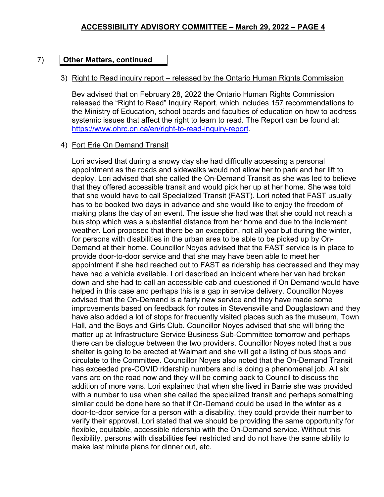# 7) **Other Matters, continued**

#### 3) Right to Read inquiry report – released by the Ontario Human Rights Commission

Bev advised that on February 28, 2022 the Ontario Human Rights Commission released the "Right to Read" Inquiry Report, which includes 157 recommendations to the Ministry of Education, school boards and faculties of education on how to address systemic issues that affect the right to learn to read. The Report can be found at: [https://www.ohrc.on.ca/en/right-to-read-inquiry-report.](https://www.ohrc.on.ca/en/right-to-read-inquiry-report)

#### 4) Fort Erie On Demand Transit

Lori advised that during a snowy day she had difficulty accessing a personal appointment as the roads and sidewalks would not allow her to park and her lift to deploy. Lori advised that she called the On-Demand Transit as she was led to believe that they offered accessible transit and would pick her up at her home. She was told that she would have to call Specialized Transit (FAST). Lori noted that FAST usually has to be booked two days in advance and she would like to enjoy the freedom of making plans the day of an event. The issue she had was that she could not reach a bus stop which was a substantial distance from her home and due to the inclement weather. Lori proposed that there be an exception, not all year but during the winter, for persons with disabilities in the urban area to be able to be picked up by On-Demand at their home. Councillor Noyes advised that the FAST service is in place to provide door-to-door service and that she may have been able to meet her appointment if she had reached out to FAST as ridership has decreased and they may have had a vehicle available. Lori described an incident where her van had broken down and she had to call an accessible cab and questioned if On Demand would have helped in this case and perhaps this is a gap in service delivery. Councillor Noyes advised that the On-Demand is a fairly new service and they have made some improvements based on feedback for routes in Stevensville and Douglastown and they have also added a lot of stops for frequently visited places such as the museum, Town Hall, and the Boys and Girls Club. Councillor Noyes advised that she will bring the matter up at Infrastructure Service Business Sub-Committee tomorrow and perhaps there can be dialogue between the two providers. Councillor Noyes noted that a bus shelter is going to be erected at Walmart and she will get a listing of bus stops and circulate to the Committee. Councillor Noyes also noted that the On-Demand Transit has exceeded pre-COVID ridership numbers and is doing a phenomenal job. All six vans are on the road now and they will be coming back to Council to discuss the addition of more vans. Lori explained that when she lived in Barrie she was provided with a number to use when she called the specialized transit and perhaps something similar could be done here so that if On-Demand could be used in the winter as a door-to-door service for a person with a disability, they could provide their number to verify their approval. Lori stated that we should be providing the same opportunity for flexible, equitable, accessible ridership with the On-Demand service. Without this flexibility, persons with disabilities feel restricted and do not have the same ability to make last minute plans for dinner out, etc.